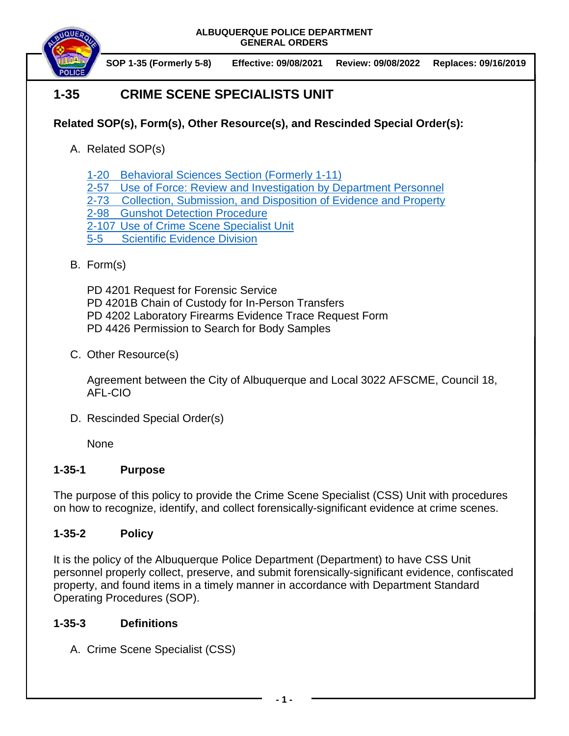

**SOP 1-35 (Formerly 5-8) Effective: 09/08/2021 Review: 09/08/2022 Replaces: 09/16/2019**

# **1-35 CRIME SCENE SPECIALISTS UNIT**

# **Related SOP(s), Form(s), Other Resource(s), and Rescinded Special Order(s):**

- A. Related SOP(s)
	- 1-20 [Behavioral Sciences Section \(Formerly 1-11\)](https://powerdms.com/docs/38)
	- [2-57 Use of Force: Review and Investigation by Department Personnel](https://powerdms.com/docs/1700599)
	- [2-73 Collection, Submission,](https://powerdms.com/docs/88) and Disposition of Evidence and Property
	- 2-98 [Gunshot Detection Procedure](https://powerdms.com/docs/2114474)
	- 2-107 [Use of Crime Scene Specialist Unit](https://powerdms.com/docs/2317906)
	- [5-5 Scientific Evidence Division](https://powerdms.com/docs/398859)
- B. Form(s)

PD 4201 Request for Forensic Service

- PD 4201B Chain of Custody for In-Person Transfers
- PD 4202 Laboratory Firearms Evidence Trace Request Form
- PD 4426 Permission to Search for Body Samples
- C. Other Resource(s)

Agreement between the City of Albuquerque and Local 3022 AFSCME, Council 18, AFL-CIO

D. Rescinded Special Order(s)

None

# **1-35-1 Purpose**

The purpose of this policy to provide the Crime Scene Specialist (CSS) Unit with procedures on how to recognize, identify, and collect forensically-significant evidence at crime scenes.

# **1-35-2 Policy**

It is the policy of the Albuquerque Police Department (Department) to have CSS Unit personnel properly collect, preserve, and submit forensically-significant evidence, confiscated property, and found items in a timely manner in accordance with Department Standard Operating Procedures (SOP).

# **1-35-3 Definitions**

A. Crime Scene Specialist (CSS)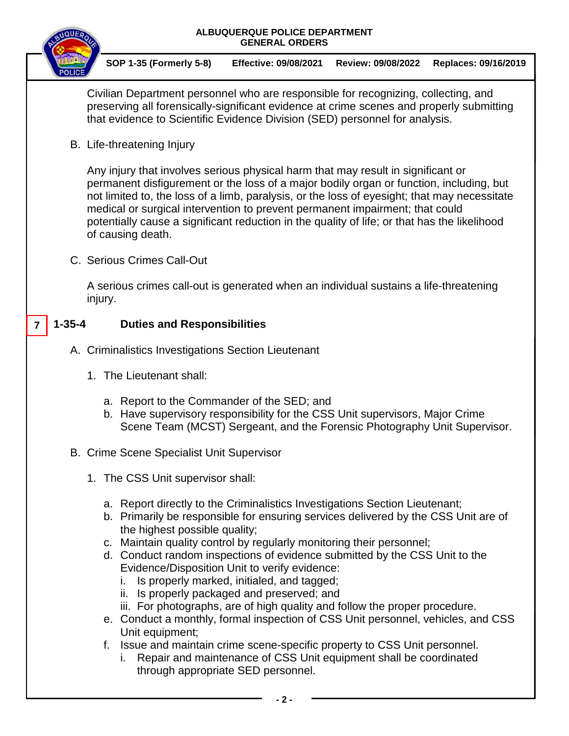



**7**

**SOP 1-35 (Formerly 5-8) Effective: 09/08/2021 Review: 09/08/2022 Replaces: 09/16/2019**

Civilian Department personnel who are responsible for recognizing, collecting, and preserving all forensically-significant evidence at crime scenes and properly submitting that evidence to Scientific Evidence Division (SED) personnel for analysis.

B. Life-threatening Injury

Any injury that involves serious physical harm that may result in significant or permanent disfigurement or the loss of a major bodily organ or function, including, but not limited to, the loss of a limb, paralysis, or the loss of eyesight; that may necessitate medical or surgical intervention to prevent permanent impairment; that could potentially cause a significant reduction in the quality of life; or that has the likelihood of causing death.

C. Serious Crimes Call-Out

A serious crimes call-out is generated when an individual sustains a life-threatening injury.

## **1-35-4 Duties and Responsibilities**

- A. Criminalistics Investigations Section Lieutenant
	- 1. The Lieutenant shall:
		- a. Report to the Commander of the SED; and
		- b. Have supervisory responsibility for the CSS Unit supervisors, Major Crime Scene Team (MCST) Sergeant, and the Forensic Photography Unit Supervisor.

## B. Crime Scene Specialist Unit Supervisor

- 1. The CSS Unit supervisor shall:
	- a. Report directly to the Criminalistics Investigations Section Lieutenant;
	- b. Primarily be responsible for ensuring services delivered by the CSS Unit are of the highest possible quality;
	- c. Maintain quality control by regularly monitoring their personnel;
	- d. Conduct random inspections of evidence submitted by the CSS Unit to the Evidence/Disposition Unit to verify evidence:
		- i. Is properly marked, initialed, and tagged;
		- ii. Is properly packaged and preserved; and
		- iii. For photographs, are of high quality and follow the proper procedure.
	- e. Conduct a monthly, formal inspection of CSS Unit personnel, vehicles, and CSS Unit equipment;
	- f. Issue and maintain crime scene-specific property to CSS Unit personnel.
		- i. Repair and maintenance of CSS Unit equipment shall be coordinated through appropriate SED personnel.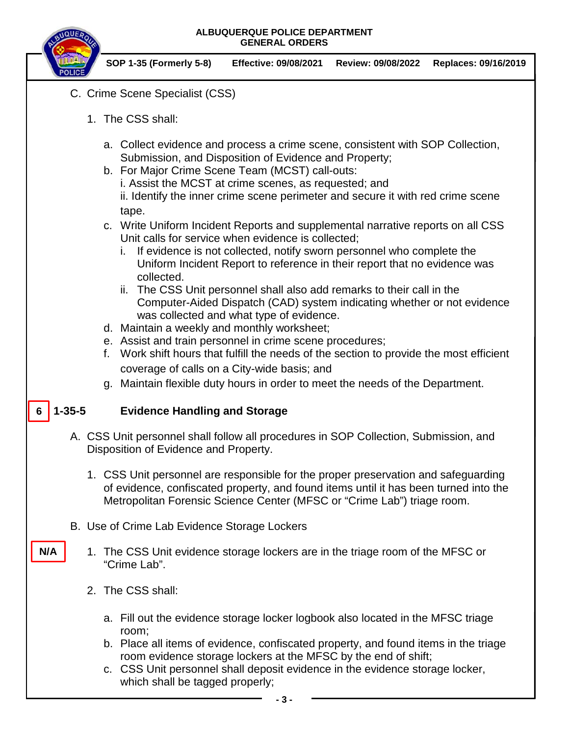

**SOP 1-35 (Formerly 5-8) Effective: 09/08/2021 Review: 09/08/2022 Replaces: 09/16/2019**

- C. Crime Scene Specialist (CSS)
	- 1. The CSS shall:
		- a. Collect evidence and process a crime scene, consistent with SOP Collection, Submission, and Disposition of Evidence and Property;
		- b. For Major Crime Scene Team (MCST) call-outs: i. Assist the MCST at crime scenes, as requested; and ii. Identify the inner crime scene perimeter and secure it with red crime scene tape.
		- c. Write Uniform Incident Reports and supplemental narrative reports on all CSS Unit calls for service when evidence is collected;
			- i. If evidence is not collected, notify sworn personnel who complete the Uniform Incident Report to reference in their report that no evidence was collected.
			- ii. The CSS Unit personnel shall also add remarks to their call in the Computer-Aided Dispatch (CAD) system indicating whether or not evidence was collected and what type of evidence.
		- d. Maintain a weekly and monthly worksheet;
		- e. Assist and train personnel in crime scene procedures;
		- f. Work shift hours that fulfill the needs of the section to provide the most efficient coverage of calls on a City-wide basis; and
		- g. Maintain flexible duty hours in order to meet the needs of the Department.

#### **1-35-5 Evidence Handling and Storage 6**

- A. CSS Unit personnel shall follow all procedures in SOP Collection, Submission, and Disposition of Evidence and Property.
	- 1. CSS Unit personnel are responsible for the proper preservation and safeguarding of evidence, confiscated property, and found items until it has been turned into the Metropolitan Forensic Science Center (MFSC or "Crime Lab") triage room.
- B. Use of Crime Lab Evidence Storage Lockers
	- 1. The CSS Unit evidence storage lockers are in the triage room of the MFSC or "Crime Lab".
		- 2. The CSS shall:

**N/A**

- a. Fill out the evidence storage locker logbook also located in the MFSC triage room;
- b. Place all items of evidence, confiscated property, and found items in the triage room evidence storage lockers at the MFSC by the end of shift;
- c. CSS Unit personnel shall deposit evidence in the evidence storage locker, which shall be tagged properly;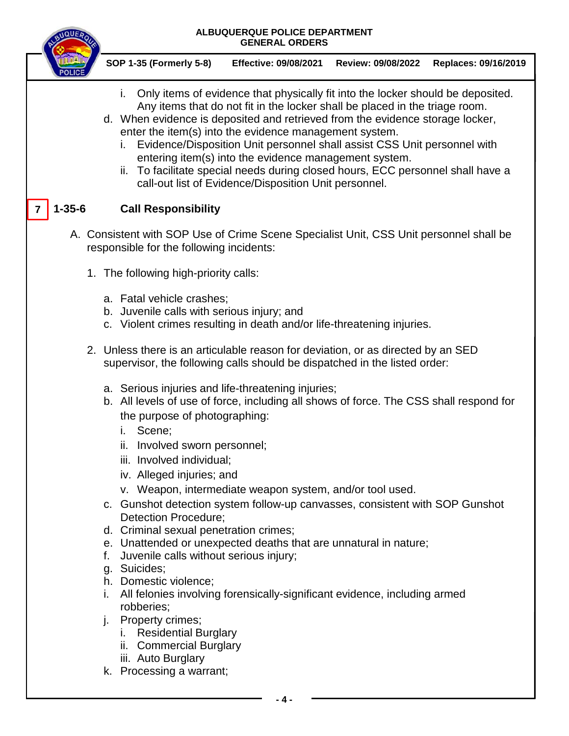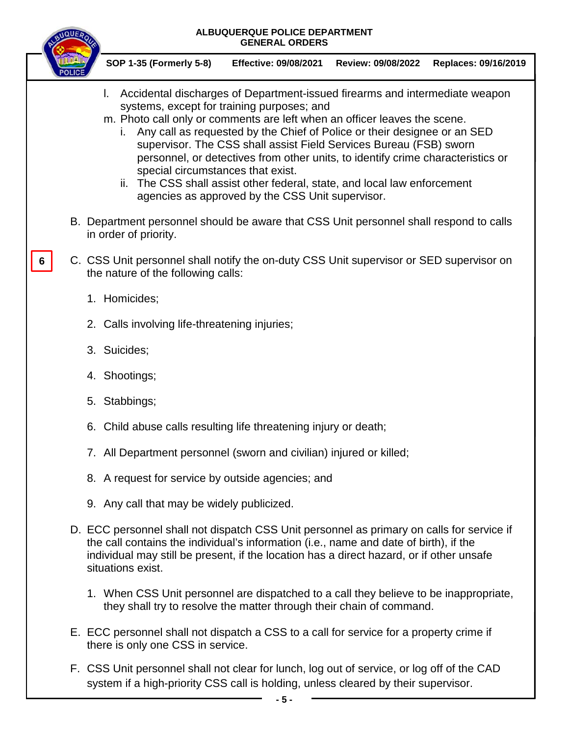

**SOP 1-35 (Formerly 5-8) Effective: 09/08/2021 Review: 09/08/2022 Replaces: 09/16/2019**

- l. Accidental discharges of Department-issued firearms and intermediate weapon systems, except for training purposes; and
- m. Photo call only or comments are left when an officer leaves the scene.
	- i. Any call as requested by the Chief of Police or their designee or an SED supervisor. The CSS shall assist Field Services Bureau (FSB) sworn personnel, or detectives from other units, to identify crime characteristics or special circumstances that exist.
	- ii. The CSS shall assist other federal, state, and local law enforcement agencies as approved by the CSS Unit supervisor.
- B. Department personnel should be aware that CSS Unit personnel shall respond to calls in order of priority.
- C. CSS Unit personnel shall notify the on-duty CSS Unit supervisor or SED supervisor on the nature of the following calls: **6**
	- 1. Homicides;
	- 2. Calls involving life-threatening injuries;
	- 3. Suicides;
	- 4. Shootings;
	- 5. Stabbings;
	- 6. Child abuse calls resulting life threatening injury or death;
	- 7. All Department personnel (sworn and civilian) injured or killed;
	- 8. A request for service by outside agencies; and
	- 9. Any call that may be widely publicized.
	- D. ECC personnel shall not dispatch CSS Unit personnel as primary on calls for service if the call contains the individual's information (i.e., name and date of birth), if the individual may still be present, if the location has a direct hazard, or if other unsafe situations exist.
		- 1. When CSS Unit personnel are dispatched to a call they believe to be inappropriate, they shall try to resolve the matter through their chain of command.
	- E. ECC personnel shall not dispatch a CSS to a call for service for a property crime if there is only one CSS in service.
	- F. CSS Unit personnel shall not clear for lunch, log out of service, or log off of the CAD system if a high-priority CSS call is holding, unless cleared by their supervisor.